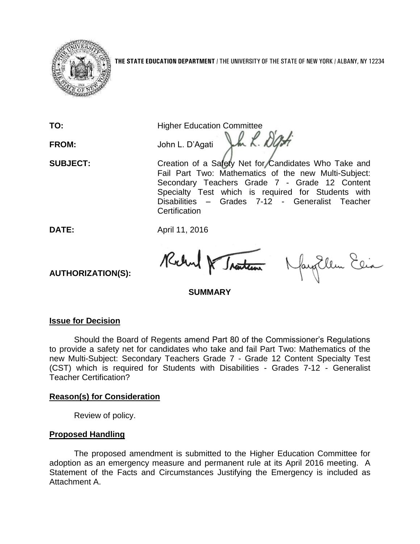

**TO:** Higher Education Committee

FROM: John L. D'Agati John L. D'Agati

**SUBJECT:** Creation of a Safety Net for Candidates Who Take and Fail Part Two: Mathematics of the new Multi-Subject: Secondary Teachers Grade 7 - Grade 12 Content Specialty Test which is required for Students with Disabilities – Grades 7-12 - Generalist Teacher **Certification** 

**DATE:** April 11, 2016

Richard & Traiten

fayEllen Elia

# **SUMMARY**

## **Issue for Decision**

**AUTHORIZATION(S):**

Should the Board of Regents amend Part 80 of the Commissioner's Regulations to provide a safety net for candidates who take and fail Part Two: Mathematics of the new Multi-Subject: Secondary Teachers Grade 7 - Grade 12 Content Specialty Test (CST) which is required for Students with Disabilities - Grades 7-12 - Generalist Teacher Certification?

# **Reason(s) for Consideration**

Review of policy.

# **Proposed Handling**

The proposed amendment is submitted to the Higher Education Committee for adoption as an emergency measure and permanent rule at its April 2016 meeting. A Statement of the Facts and Circumstances Justifying the Emergency is included as Attachment A.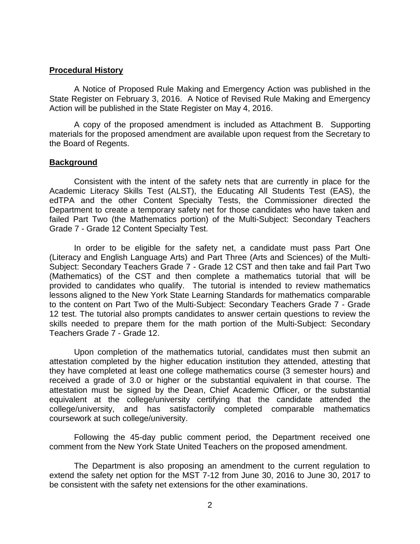#### **Procedural History**

A Notice of Proposed Rule Making and Emergency Action was published in the State Register on February 3, 2016. A Notice of Revised Rule Making and Emergency Action will be published in the State Register on May 4, 2016.

A copy of the proposed amendment is included as Attachment B. Supporting materials for the proposed amendment are available upon request from the Secretary to the Board of Regents.

#### **Background**

Consistent with the intent of the safety nets that are currently in place for the Academic Literacy Skills Test (ALST), the Educating All Students Test (EAS), the edTPA and the other Content Specialty Tests, the Commissioner directed the Department to create a temporary safety net for those candidates who have taken and failed Part Two (the Mathematics portion) of the Multi-Subject: Secondary Teachers Grade 7 - Grade 12 Content Specialty Test.

In order to be eligible for the safety net, a candidate must pass Part One (Literacy and English Language Arts) and Part Three (Arts and Sciences) of the Multi-Subject: Secondary Teachers Grade 7 - Grade 12 CST and then take and fail Part Two (Mathematics) of the CST and then complete a mathematics tutorial that will be provided to candidates who qualify. The tutorial is intended to review mathematics lessons aligned to the New York State Learning Standards for mathematics comparable to the content on Part Two of the Multi-Subject: Secondary Teachers Grade 7 - Grade 12 test. The tutorial also prompts candidates to answer certain questions to review the skills needed to prepare them for the math portion of the Multi-Subject: Secondary Teachers Grade 7 - Grade 12.

Upon completion of the mathematics tutorial, candidates must then submit an attestation completed by the higher education institution they attended, attesting that they have completed at least one college mathematics course (3 semester hours) and received a grade of 3.0 or higher or the substantial equivalent in that course. The attestation must be signed by the Dean, Chief Academic Officer, or the substantial equivalent at the college/university certifying that the candidate attended the college/university, and has satisfactorily completed comparable mathematics coursework at such college/university.

Following the 45-day public comment period, the Department received one comment from the New York State United Teachers on the proposed amendment.

The Department is also proposing an amendment to the current regulation to extend the safety net option for the MST 7-12 from June 30, 2016 to June 30, 2017 to be consistent with the safety net extensions for the other examinations.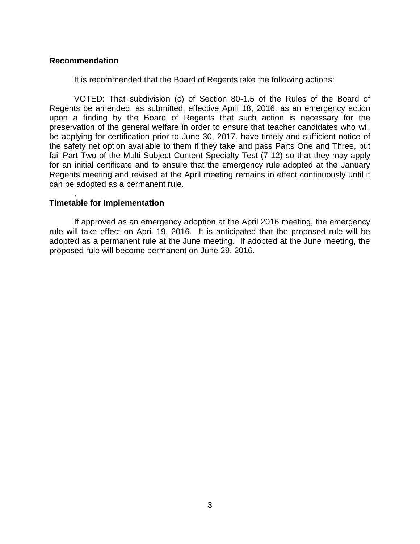## **Recommendation**

It is recommended that the Board of Regents take the following actions:

VOTED: That subdivision (c) of Section 80-1.5 of the Rules of the Board of Regents be amended, as submitted, effective April 18, 2016, as an emergency action upon a finding by the Board of Regents that such action is necessary for the preservation of the general welfare in order to ensure that teacher candidates who will be applying for certification prior to June 30, 2017, have timely and sufficient notice of the safety net option available to them if they take and pass Parts One and Three, but fail Part Two of the Multi-Subject Content Specialty Test (7-12) so that they may apply for an initial certificate and to ensure that the emergency rule adopted at the January Regents meeting and revised at the April meeting remains in effect continuously until it can be adopted as a permanent rule.

## **Timetable for Implementation**

.

If approved as an emergency adoption at the April 2016 meeting, the emergency rule will take effect on April 19, 2016. It is anticipated that the proposed rule will be adopted as a permanent rule at the June meeting. If adopted at the June meeting, the proposed rule will become permanent on June 29, 2016.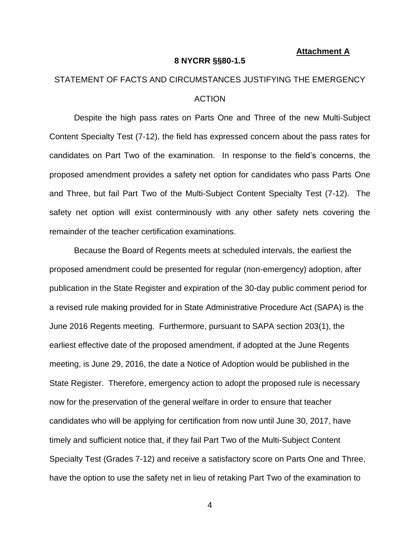#### **Attachment A**

#### **8 NYCRR §§80-1.5**

# STATEMENT OF FACTS AND CIRCUMSTANCES JUSTIFYING THE EMERGENCY ACTION

Despite the high pass rates on Parts One and Three of the new Multi-Subject Content Specialty Test (7-12), the field has expressed concern about the pass rates for candidates on Part Two of the examination. In response to the field's concerns, the proposed amendment provides a safety net option for candidates who pass Parts One and Three, but fail Part Two of the Multi-Subject Content Specialty Test (7-12). The safety net option will exist conterminously with any other safety nets covering the remainder of the teacher certification examinations.

Because the Board of Regents meets at scheduled intervals, the earliest the proposed amendment could be presented for regular (non-emergency) adoption, after publication in the State Register and expiration of the 30-day public comment period for a revised rule making provided for in State Administrative Procedure Act (SAPA) is the June 2016 Regents meeting. Furthermore, pursuant to SAPA section 203(1), the earliest effective date of the proposed amendment, if adopted at the June Regents meeting, is June 29, 2016, the date a Notice of Adoption would be published in the State Register. Therefore, emergency action to adopt the proposed rule is necessary now for the preservation of the general welfare in order to ensure that teacher candidates who will be applying for certification from now until June 30, 2017, have timely and sufficient notice that, if they fail Part Two of the Multi-Subject Content Specialty Test (Grades 7-12) and receive a satisfactory score on Parts One and Three, have the option to use the safety net in lieu of retaking Part Two of the examination to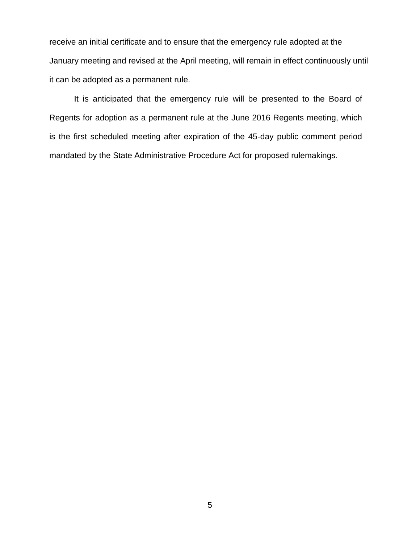receive an initial certificate and to ensure that the emergency rule adopted at the January meeting and revised at the April meeting, will remain in effect continuously until it can be adopted as a permanent rule.

It is anticipated that the emergency rule will be presented to the Board of Regents for adoption as a permanent rule at the June 2016 Regents meeting, which is the first scheduled meeting after expiration of the 45-day public comment period mandated by the State Administrative Procedure Act for proposed rulemakings.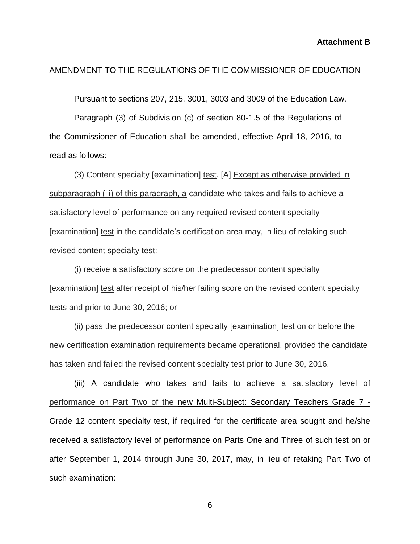#### AMENDMENT TO THE REGULATIONS OF THE COMMISSIONER OF EDUCATION

Pursuant to sections 207, 215, 3001, 3003 and 3009 of the Education Law.

Paragraph (3) of Subdivision (c) of section 80-1.5 of the Regulations of the Commissioner of Education shall be amended, effective April 18, 2016, to read as follows:

(3) Content specialty [examination] test. [A] Except as otherwise provided in subparagraph (iii) of this paragraph, a candidate who takes and fails to achieve a satisfactory level of performance on any required revised content specialty [examination] test in the candidate's certification area may, in lieu of retaking such revised content specialty test:

(i) receive a satisfactory score on the predecessor content specialty [examination] test after receipt of his/her failing score on the revised content specialty tests and prior to June 30, 2016; or

(ii) pass the predecessor content specialty [examination] test on or before the new certification examination requirements became operational, provided the candidate has taken and failed the revised content specialty test prior to June 30, 2016.

(iii) A candidate who takes and fails to achieve a satisfactory level of performance on Part Two of the new Multi-Subject: Secondary Teachers Grade 7 - Grade 12 content specialty test, if required for the certificate area sought and he/she received a satisfactory level of performance on Parts One and Three of such test on or after September 1, 2014 through June 30, 2017, may, in lieu of retaking Part Two of such examination: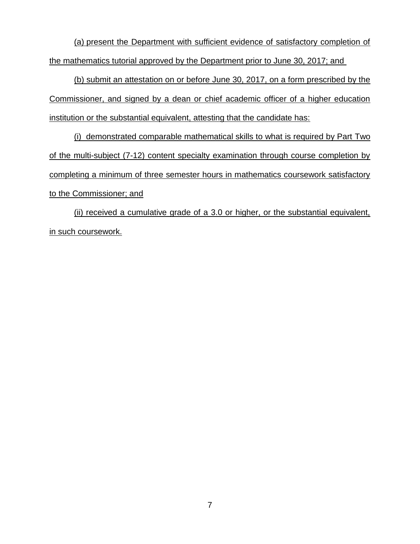(a) present the Department with sufficient evidence of satisfactory completion of the mathematics tutorial approved by the Department prior to June 30, 2017; and

(b) submit an attestation on or before June 30, 2017, on a form prescribed by the Commissioner, and signed by a dean or chief academic officer of a higher education institution or the substantial equivalent, attesting that the candidate has:

(i) demonstrated comparable mathematical skills to what is required by Part Two of the multi-subject (7-12) content specialty examination through course completion by completing a minimum of three semester hours in mathematics coursework satisfactory to the Commissioner; and

(ii) received a cumulative grade of a 3.0 or higher, or the substantial equivalent, in such coursework.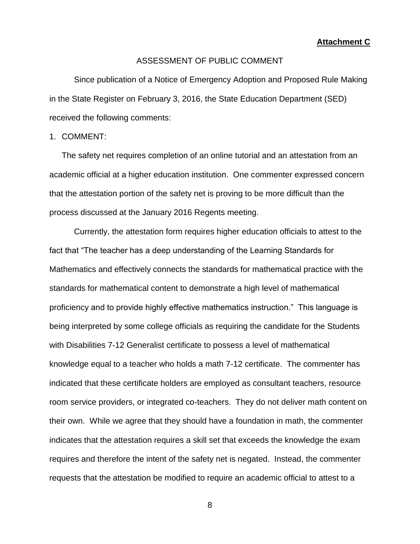**Attachment C**

#### ASSESSMENT OF PUBLIC COMMENT

Since publication of a Notice of Emergency Adoption and Proposed Rule Making in the State Register on February 3, 2016, the State Education Department (SED) received the following comments:

### 1. COMMENT:

The safety net requires completion of an online tutorial and an attestation from an academic official at a higher education institution. One commenter expressed concern that the attestation portion of the safety net is proving to be more difficult than the process discussed at the January 2016 Regents meeting.

Currently, the attestation form requires higher education officials to attest to the fact that "The teacher has a deep understanding of the Learning Standards for Mathematics and effectively connects the standards for mathematical practice with the standards for mathematical content to demonstrate a high level of mathematical proficiency and to provide highly effective mathematics instruction." This language is being interpreted by some college officials as requiring the candidate for the Students with Disabilities 7-12 Generalist certificate to possess a level of mathematical knowledge equal to a teacher who holds a math 7-12 certificate. The commenter has indicated that these certificate holders are employed as consultant teachers, resource room service providers, or integrated co-teachers. They do not deliver math content on their own. While we agree that they should have a foundation in math, the commenter indicates that the attestation requires a skill set that exceeds the knowledge the exam requires and therefore the intent of the safety net is negated. Instead, the commenter requests that the attestation be modified to require an academic official to attest to a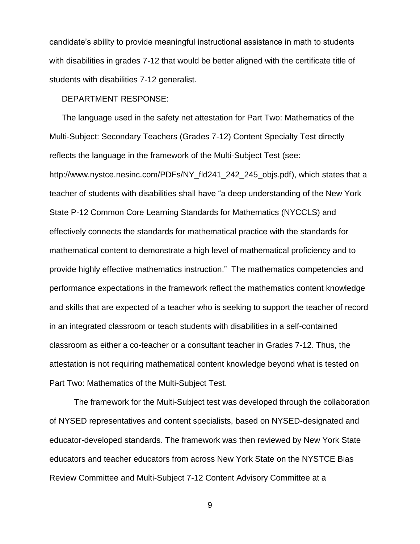candidate's ability to provide meaningful instructional assistance in math to students with disabilities in grades 7-12 that would be better aligned with the certificate title of students with disabilities 7-12 generalist.

#### DEPARTMENT RESPONSE:

The language used in the safety net attestation for Part Two: Mathematics of the Multi-Subject: Secondary Teachers (Grades 7-12) Content Specialty Test directly reflects the language in the framework of the Multi-Subject Test (see: http://www.nystce.nesinc.com/PDFs/NY\_fld241\_242\_245\_objs.pdf), which states that a teacher of students with disabilities shall have "a deep understanding of the New York State P-12 Common Core Learning Standards for Mathematics (NYCCLS) and effectively connects the standards for mathematical practice with the standards for mathematical content to demonstrate a high level of mathematical proficiency and to provide highly effective mathematics instruction." The mathematics competencies and performance expectations in the framework reflect the mathematics content knowledge and skills that are expected of a teacher who is seeking to support the teacher of record in an integrated classroom or teach students with disabilities in a self-contained classroom as either a co-teacher or a consultant teacher in Grades 7-12. Thus, the attestation is not requiring mathematical content knowledge beyond what is tested on Part Two: Mathematics of the Multi-Subject Test.

The framework for the Multi-Subject test was developed through the collaboration of NYSED representatives and content specialists, based on NYSED-designated and educator-developed standards. The framework was then reviewed by New York State educators and teacher educators from across New York State on the NYSTCE Bias Review Committee and Multi-Subject 7-12 Content Advisory Committee at a